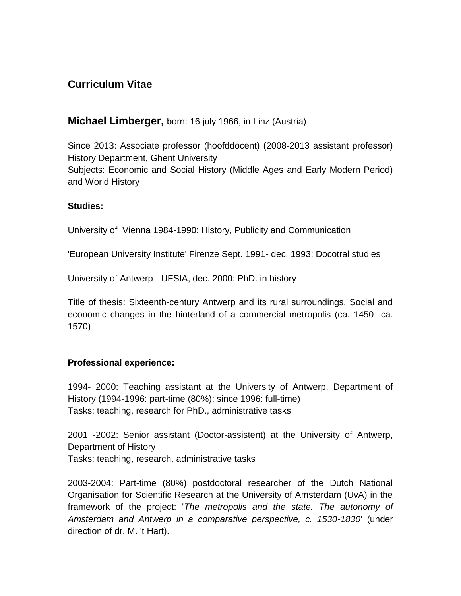# **Curriculum Vitae**

## **Michael Limberger,** born: 16 july 1966, in Linz (Austria)

Since 2013: Associate professor (hoofddocent) (2008-2013 assistant professor) History Department, Ghent University Subjects: Economic and Social History (Middle Ages and Early Modern Period) and World History

#### **Studies:**

University of Vienna 1984-1990: History, Publicity and Communication

'European University Institute' Firenze Sept. 1991- dec. 1993: Docotral studies

University of Antwerp - UFSIA, dec. 2000: PhD. in history

Title of thesis: Sixteenth-century Antwerp and its rural surroundings. Social and economic changes in the hinterland of a commercial metropolis (ca. 1450- ca. 1570)

#### **Professional experience:**

1994- 2000: Teaching assistant at the University of Antwerp, Department of History (1994-1996: part-time (80%); since 1996: full-time) Tasks: teaching, research for PhD., administrative tasks

2001 -2002: Senior assistant (Doctor-assistent) at the University of Antwerp, Department of History Tasks: teaching, research, administrative tasks

2003-2004: Part-time (80%) postdoctoral researcher of the Dutch National Organisation for Scientific Research at the University of Amsterdam (UvA) in the framework of the project: '*The metropolis and the state. The autonomy of Amsterdam and Antwerp in a comparative perspective, c. 1530-1830*' (under direction of dr. M. 't Hart).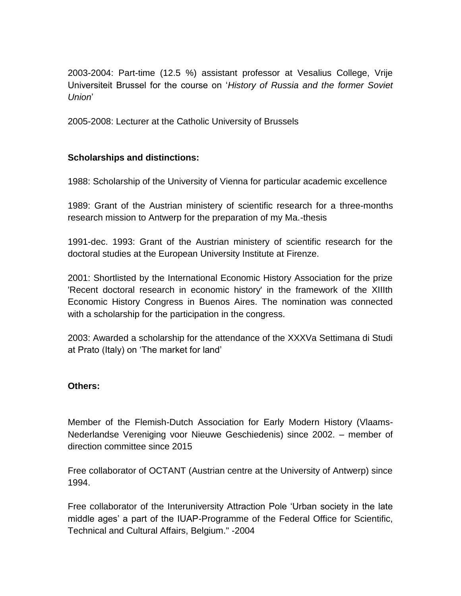2003-2004: Part-time (12.5 %) assistant professor at Vesalius College, Vrije Universiteit Brussel for the course on '*History of Russia and the former Soviet Union*'

2005-2008: Lecturer at the Catholic University of Brussels

## **Scholarships and distinctions:**

1988: Scholarship of the University of Vienna for particular academic excellence

1989: Grant of the Austrian ministery of scientific research for a three-months research mission to Antwerp for the preparation of my Ma.-thesis

1991-dec. 1993: Grant of the Austrian ministery of scientific research for the doctoral studies at the European University Institute at Firenze.

2001: Shortlisted by the International Economic History Association for the prize 'Recent doctoral research in economic history' in the framework of the XIIIth Economic History Congress in Buenos Aires. The nomination was connected with a scholarship for the participation in the congress.

2003: Awarded a scholarship for the attendance of the XXXVa Settimana di Studi at Prato (Italy) on 'The market for land'

### **Others:**

Member of the Flemish-Dutch Association for Early Modern History (Vlaams-Nederlandse Vereniging voor Nieuwe Geschiedenis) since 2002. – member of direction committee since 2015

Free collaborator of OCTANT (Austrian centre at the University of Antwerp) since 1994.

Free collaborator of the Interuniversity Attraction Pole 'Urban society in the late middle ages' a part of the IUAP-Programme of the Federal Office for Scientific, Technical and Cultural Affairs, Belgium." -2004